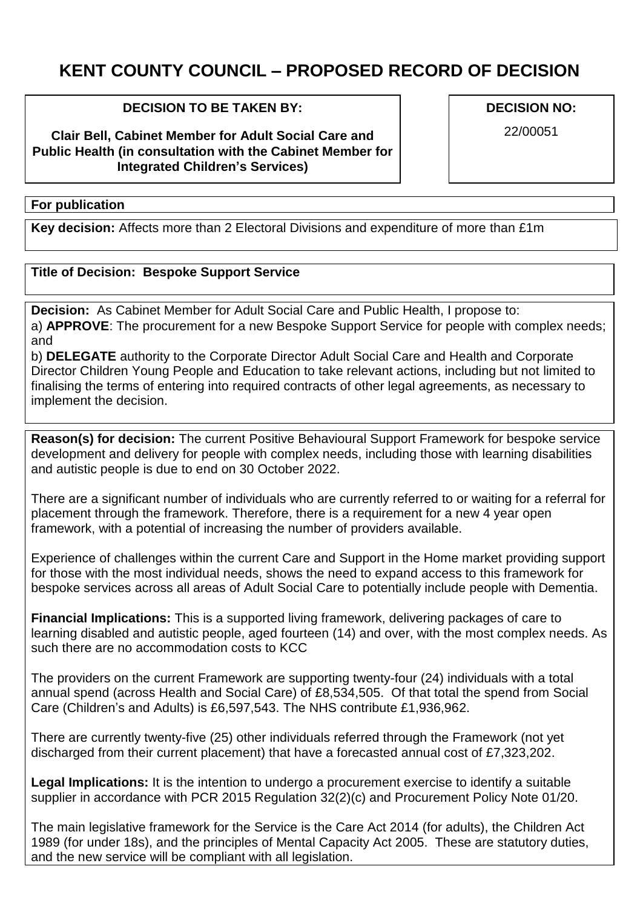## **KENT COUNTY COUNCIL – PROPOSED RECORD OF DECISION**

## **DECISION TO BE TAKEN BY:**

**Clair Bell, Cabinet Member for Adult Social Care and Public Health (in consultation with the Cabinet Member for Integrated Children's Services)**

## **For publication**

**Key decision:** Affects more than 2 Electoral Divisions and expenditure of more than £1m

## **Title of Decision: Bespoke Support Service**

**Decision:** As Cabinet Member for Adult Social Care and Public Health, I propose to: a) **APPROVE**: The procurement for a new Bespoke Support Service for people with complex needs; and

b) **DELEGATE** authority to the Corporate Director Adult Social Care and Health and Corporate Director Children Young People and Education to take relevant actions, including but not limited to finalising the terms of entering into required contracts of other legal agreements, as necessary to implement the decision.

**Reason(s) for decision:** The current Positive Behavioural Support Framework for bespoke service development and delivery for people with complex needs, including those with learning disabilities and autistic people is due to end on 30 October 2022.

There are a significant number of individuals who are currently referred to or waiting for a referral for placement through the framework. Therefore, there is a requirement for a new 4 year open framework, with a potential of increasing the number of providers available.

Experience of challenges within the current Care and Support in the Home market providing support for those with the most individual needs, shows the need to expand access to this framework for bespoke services across all areas of Adult Social Care to potentially include people with Dementia.

**Financial Implications:** This is a supported living framework, delivering packages of care to learning disabled and autistic people, aged fourteen (14) and over, with the most complex needs. As such there are no accommodation costs to KCC

The providers on the current Framework are supporting twenty-four (24) individuals with a total annual spend (across Health and Social Care) of £8,534,505. Of that total the spend from Social Care (Children's and Adults) is £6,597,543. The NHS contribute £1,936,962.

There are currently twenty-five (25) other individuals referred through the Framework (not yet discharged from their current placement) that have a forecasted annual cost of £7,323,202.

**Legal Implications:** It is the intention to undergo a procurement exercise to identify a suitable supplier in accordance with PCR 2015 Regulation 32(2)(c) and Procurement Policy Note 01/20.

The main legislative framework for the Service is the Care Act 2014 (for adults), the Children Act 1989 (for under 18s), and the principles of Mental Capacity Act 2005. These are statutory duties, and the new service will be compliant with all legislation.

**DECISION NO:**

22/00051